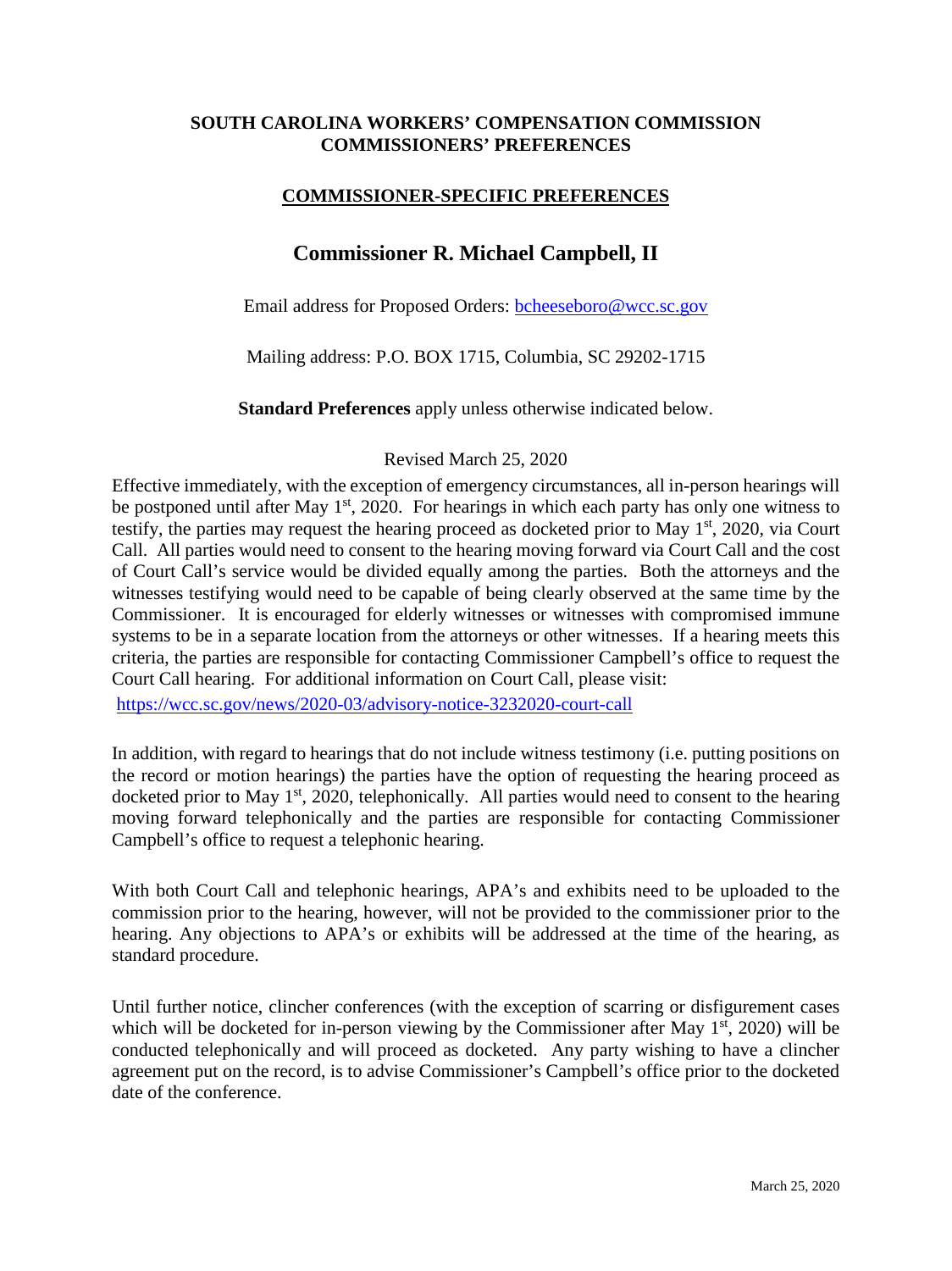## **SOUTH CAROLINA WORKERS' COMPENSATION COMMISSION COMMISSIONERS' PREFERENCES**

## **COMMISSIONER-SPECIFIC PREFERENCES**

## **Commissioner R. Michael Campbell, II**

Email address for Proposed Orders: bcheeseboro@wcc.sc.gov

Mailing address: P.O. BOX 1715, Columbia, SC 29202-1715

**Standard Preferences** apply unless otherwise indicated below.

## Revised March 25, 2020

Effective immediately, with the exception of emergency circumstances, all in-person hearings will be postponed until after May 1<sup>st</sup>, 2020. For hearings in which each party has only one witness to testify, the parties may request the hearing proceed as docketed prior to May  $1<sup>st</sup>$ , 2020, via Court Call. All parties would need to consent to the hearing moving forward via Court Call and the cost of Court Call's service would be divided equally among the parties. Both the attorneys and the witnesses testifying would need to be capable of being clearly observed at the same time by the Commissioner. It is encouraged for elderly witnesses or witnesses with compromised immune systems to be in a separate location from the attorneys or other witnesses. If a hearing meets this criteria, the parties are responsible for contacting Commissioner Campbell's office to request the Court Call hearing. For additional information on Court Call, please visit:

<https://wcc.sc.gov/news/2020-03/advisory-notice-3232020-court-call>

In addition, with regard to hearings that do not include witness testimony (i.e. putting positions on the record or motion hearings) the parties have the option of requesting the hearing proceed as docketed prior to May  $1<sup>st</sup>$ , 2020, telephonically. All parties would need to consent to the hearing moving forward telephonically and the parties are responsible for contacting Commissioner Campbell's office to request a telephonic hearing.

With both Court Call and telephonic hearings, APA's and exhibits need to be uploaded to the commission prior to the hearing, however, will not be provided to the commissioner prior to the hearing. Any objections to APA's or exhibits will be addressed at the time of the hearing, as standard procedure.

Until further notice, clincher conferences (with the exception of scarring or disfigurement cases which will be docketed for in-person viewing by the Commissioner after May  $1<sup>st</sup>$ , 2020) will be conducted telephonically and will proceed as docketed. Any party wishing to have a clincher agreement put on the record, is to advise Commissioner's Campbell's office prior to the docketed date of the conference.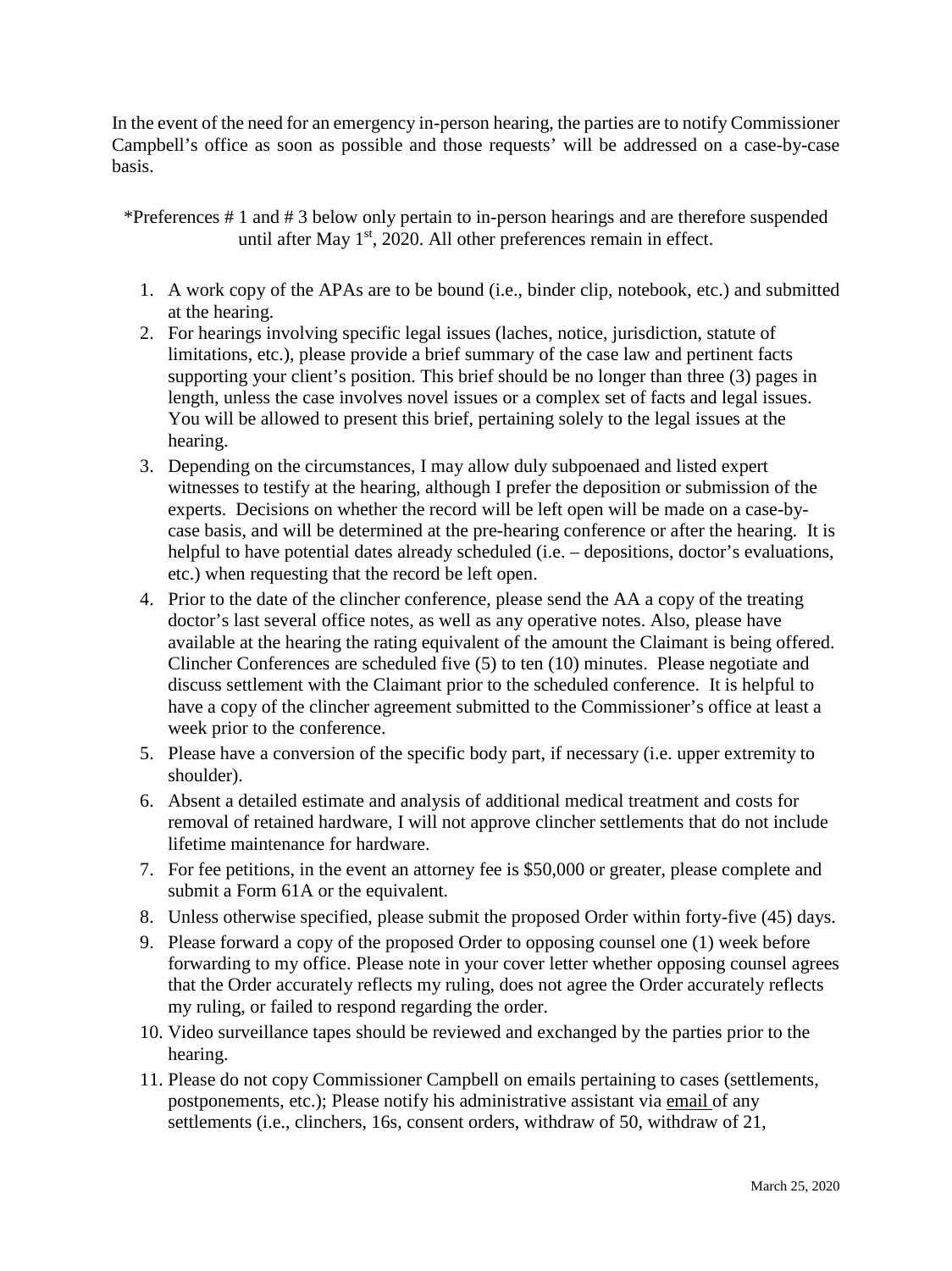In the event of the need for an emergency in-person hearing, the parties are to notify Commissioner Campbell's office as soon as possible and those requests' will be addressed on a case-by-case basis.

\*Preferences # 1 and # 3 below only pertain to in-person hearings and are therefore suspended until after May  $1<sup>st</sup>$ , 2020. All other preferences remain in effect.

- 1. A work copy of the APAs are to be bound (i.e., binder clip, notebook, etc.) and submitted at the hearing.
- 2. For hearings involving specific legal issues (laches, notice, jurisdiction, statute of limitations, etc.), please provide a brief summary of the case law and pertinent facts supporting your client's position. This brief should be no longer than three (3) pages in length, unless the case involves novel issues or a complex set of facts and legal issues. You will be allowed to present this brief, pertaining solely to the legal issues at the hearing.
- 3. Depending on the circumstances, I may allow duly subpoenaed and listed expert witnesses to testify at the hearing, although I prefer the deposition or submission of the experts. Decisions on whether the record will be left open will be made on a case-bycase basis, and will be determined at the pre-hearing conference or after the hearing. It is helpful to have potential dates already scheduled (i.e. – depositions, doctor's evaluations, etc.) when requesting that the record be left open.
- 4. Prior to the date of the clincher conference, please send the AA a copy of the treating doctor's last several office notes, as well as any operative notes. Also, please have available at the hearing the rating equivalent of the amount the Claimant is being offered. Clincher Conferences are scheduled five (5) to ten (10) minutes. Please negotiate and discuss settlement with the Claimant prior to the scheduled conference. It is helpful to have a copy of the clincher agreement submitted to the Commissioner's office at least a week prior to the conference.
- 5. Please have a conversion of the specific body part, if necessary (i.e. upper extremity to shoulder).
- 6. Absent a detailed estimate and analysis of additional medical treatment and costs for removal of retained hardware, I will not approve clincher settlements that do not include lifetime maintenance for hardware.
- 7. For fee petitions, in the event an attorney fee is \$50,000 or greater, please complete and submit a Form 61A or the equivalent.
- 8. Unless otherwise specified, please submit the proposed Order within forty-five (45) days.
- 9. Please forward a copy of the proposed Order to opposing counsel one (1) week before forwarding to my office. Please note in your cover letter whether opposing counsel agrees that the Order accurately reflects my ruling, does not agree the Order accurately reflects my ruling, or failed to respond regarding the order.
- 10. Video surveillance tapes should be reviewed and exchanged by the parties prior to the hearing.
- 11. Please do not copy Commissioner Campbell on emails pertaining to cases (settlements, postponements, etc.); Please notify his administrative assistant via email of any settlements (i.e., clinchers, 16s, consent orders, withdraw of 50, withdraw of 21,